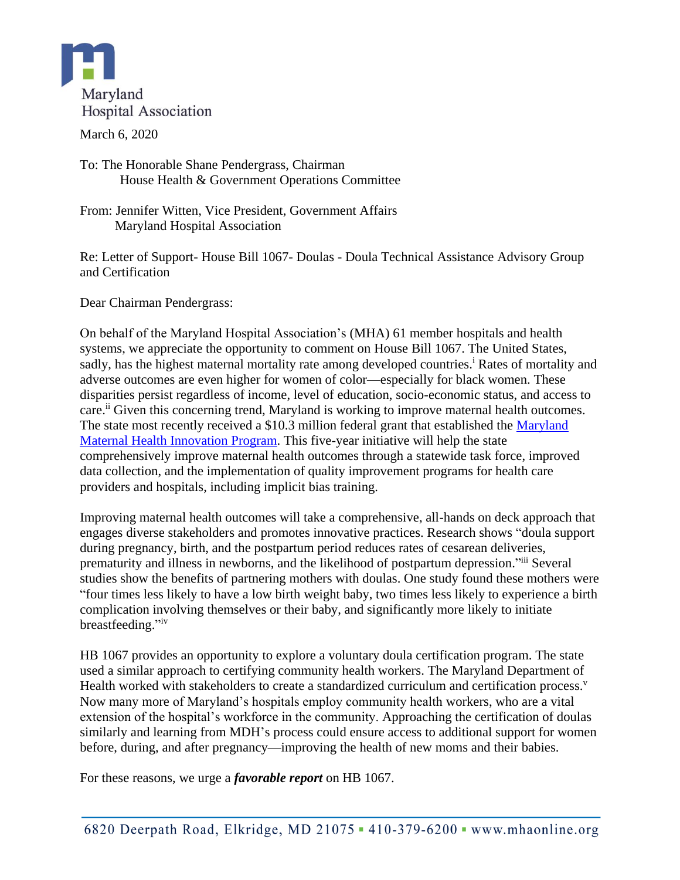

March 6, 2020

To: The Honorable Shane Pendergrass, Chairman House Health & Government Operations Committee

From: Jennifer Witten, Vice President, Government Affairs Maryland Hospital Association

Re: Letter of Support- House Bill 1067- Doulas - Doula Technical Assistance Advisory Group and Certification

Dear Chairman Pendergrass:

On behalf of the Maryland Hospital Association's (MHA) 61 member hospitals and health systems, we appreciate the opportunity to comment on House Bill 1067. The United States, sadly, has the highest maternal mortality rate among developed countries.<sup>i</sup> Rates of mortality and adverse outcomes are even higher for women of color—especially for black women. These disparities persist regardless of income, level of education, socio-economic status, and access to care.<sup>ii</sup> Given this concerning trend, Maryland is working to improve maternal health outcomes. The state most recently received a \$10.3 million federal grant that established the Maryland [Maternal Health Innovation Program.](https://mdmom.org/) This five-year initiative will help the state comprehensively improve maternal health outcomes through a statewide task force, improved data collection, and the implementation of quality improvement programs for health care providers and hospitals, including implicit bias training.

Improving maternal health outcomes will take a comprehensive, all-hands on deck approach that engages diverse stakeholders and promotes innovative practices. Research shows "doula support during pregnancy, birth, and the postpartum period reduces rates of cesarean deliveries, prematurity and illness in newborns, and the likelihood of postpartum depression."iii Several studies show the benefits of partnering mothers with doulas. One study found these mothers were "four times less likely to have a low birth weight baby, two times less likely to experience a birth complication involving themselves or their baby, and significantly more likely to initiate breastfeeding."iv

HB 1067 provides an opportunity to explore a voluntary doula certification program. The state used a similar approach to certifying community health workers. The Maryland Department of Health worked with stakeholders to create a standardized curriculum and certification process.<sup>v</sup> Now many more of Maryland's hospitals employ community health workers, who are a vital extension of the hospital's workforce in the community. Approaching the certification of doulas similarly and learning from MDH's process could ensure access to additional support for women before, during, and after pregnancy—improving the health of new moms and their babies.

For these reasons, we urge a *favorable report* on HB 1067.